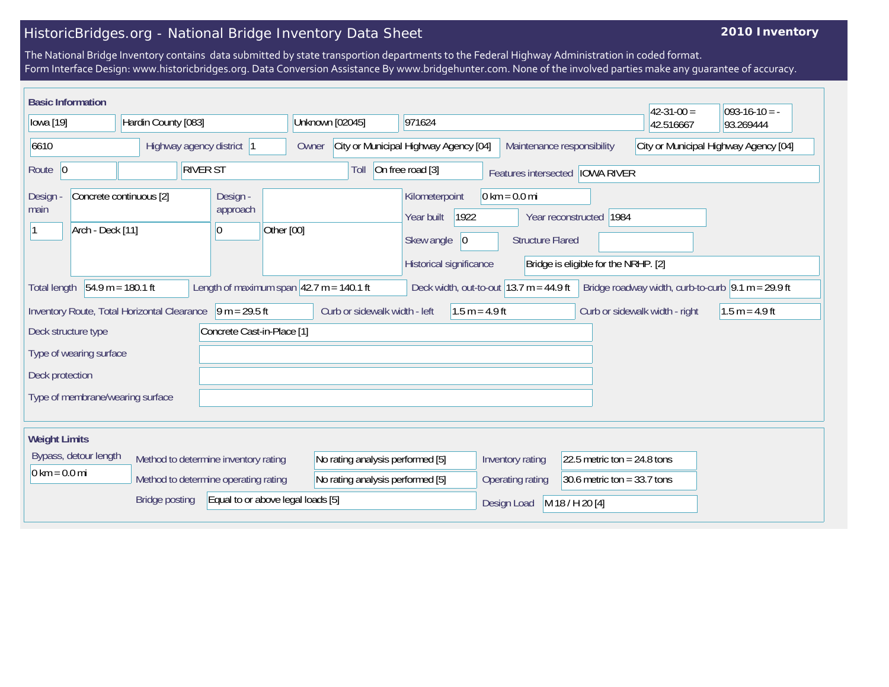## HistoricBridges.org - National Bridge Inventory Data Sheet

## **2010 Inventory**

The National Bridge Inventory contains data submitted by state transportion departments to the Federal Highway Administration in coded format. Form Interface Design: www.historicbridges.org. Data Conversion Assistance By www.bridgehunter.com. None of the involved parties make any guarantee of accuracy.

| <b>Basic Information</b>                                                                                                                                                                                                                |                         |                                                                              |                                  |                                                                                              |                                                            |                                                                 | $42 - 31 - 00 =$               | $093-16-10 = -$  |
|-----------------------------------------------------------------------------------------------------------------------------------------------------------------------------------------------------------------------------------------|-------------------------|------------------------------------------------------------------------------|----------------------------------|----------------------------------------------------------------------------------------------|------------------------------------------------------------|-----------------------------------------------------------------|--------------------------------|------------------|
| lowa [19]<br>Hardin County [083]                                                                                                                                                                                                        |                         | Unknown [02045]                                                              | 971624                           |                                                                                              |                                                            | 42.516667                                                       | 93.269444                      |                  |
| 6610<br>Highway agency district  1                                                                                                                                                                                                      |                         | City or Municipal Highway Agency [04]<br>Maintenance responsibility<br>Owner |                                  | City or Municipal Highway Agency [04]                                                        |                                                            |                                                                 |                                |                  |
| Route $\vert 0 \vert$                                                                                                                                                                                                                   | <b>RIVER ST</b>         |                                                                              | Toll                             | On free road [3]<br>Features intersected   IOWA RIVER                                        |                                                            |                                                                 |                                |                  |
| Design<br>main<br>Arch - Deck [11]                                                                                                                                                                                                      | Concrete continuous [2] | Design -<br>approach<br>Other [00]<br>10                                     |                                  | Kilometerpoint<br>1922<br>Year built<br>Skew angle<br>$ 0\rangle$<br>Historical significance | $0 \text{ km} = 0.0 \text{ mi}$<br><b>Structure Flared</b> | Year reconstructed 1984<br>Bridge is eligible for the NRHP. [2] |                                |                  |
| Length of maximum span $ 42.7 \text{ m} = 140.1 \text{ ft}$<br>Deck width, out-to-out $ 13.7 \text{ m} = 44.9 \text{ ft} $<br>$54.9 m = 180.1 ft$<br>Bridge roadway width, curb-to-curb $\sqrt{9.1}$ m = 29.9 ft<br><b>Total length</b> |                         |                                                                              |                                  |                                                                                              |                                                            |                                                                 |                                |                  |
| $\sqrt{9}$ m = 29.5 ft<br>Inventory Route, Total Horizontal Clearance                                                                                                                                                                   |                         |                                                                              | Curb or sidewalk width - left    | $1.5 m = 4.9 ft$                                                                             |                                                            |                                                                 | Curb or sidewalk width - right | $1.5 m = 4.9 ft$ |
| Concrete Cast-in-Place [1]<br>Deck structure type                                                                                                                                                                                       |                         |                                                                              |                                  |                                                                                              |                                                            |                                                                 |                                |                  |
| Type of wearing surface                                                                                                                                                                                                                 |                         |                                                                              |                                  |                                                                                              |                                                            |                                                                 |                                |                  |
| Deck protection                                                                                                                                                                                                                         |                         |                                                                              |                                  |                                                                                              |                                                            |                                                                 |                                |                  |
| Type of membrane/wearing surface                                                                                                                                                                                                        |                         |                                                                              |                                  |                                                                                              |                                                            |                                                                 |                                |                  |
|                                                                                                                                                                                                                                         |                         |                                                                              |                                  |                                                                                              |                                                            |                                                                 |                                |                  |
| <b>Weight Limits</b>                                                                                                                                                                                                                    |                         |                                                                              |                                  |                                                                                              |                                                            |                                                                 |                                |                  |
| Bypass, detour length<br>Method to determine inventory rating                                                                                                                                                                           |                         | No rating analysis performed [5]                                             |                                  | Inventory rating                                                                             | 22.5 metric ton = $24.8$ tons                              |                                                                 |                                |                  |
| $0 \text{ km} = 0.0 \text{ mi}$                                                                                                                                                                                                         |                         | Method to determine operating rating                                         | No rating analysis performed [5] |                                                                                              | Operating rating                                           | 30.6 metric ton = $33.7$ tons                                   |                                |                  |
| <b>Bridge posting</b><br>Equal to or above legal loads [5]                                                                                                                                                                              |                         |                                                                              |                                  |                                                                                              | Design Load                                                | M 18 / H 20 [4]                                                 |                                |                  |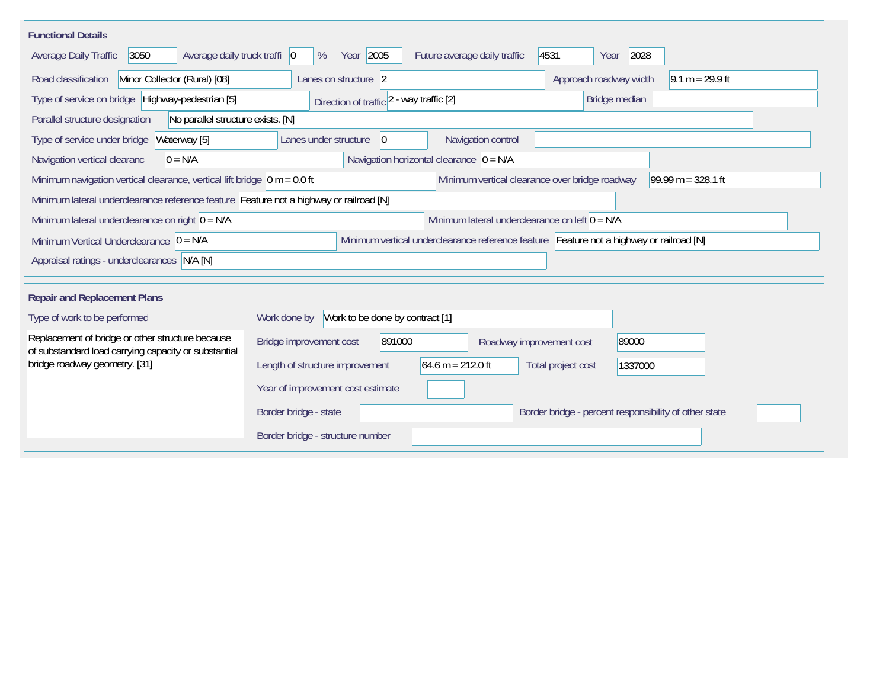| <b>Functional Details</b>                                                                                                             |                                                                                         |  |  |  |  |  |  |
|---------------------------------------------------------------------------------------------------------------------------------------|-----------------------------------------------------------------------------------------|--|--|--|--|--|--|
| 3050<br>Average daily truck traffi   0<br>Average Daily Traffic                                                                       | Year 2005<br>2028<br>Future average daily traffic<br>4531<br>%<br>Year                  |  |  |  |  |  |  |
| Road classification<br>Minor Collector (Rural) [08]<br>Lanes on structure 2<br>Approach roadway width<br>$9.1 m = 29.9 ft$            |                                                                                         |  |  |  |  |  |  |
| Type of service on bridge Highway-pedestrian [5]                                                                                      | Bridge median<br>Direction of traffic 2 - way traffic [2]                               |  |  |  |  |  |  |
| Parallel structure designation<br>No parallel structure exists. [N]                                                                   |                                                                                         |  |  |  |  |  |  |
| Waterway [5]<br>Type of service under bridge                                                                                          | Navigation control<br>Lanes under structure<br>$\overline{0}$                           |  |  |  |  |  |  |
| Navigation vertical clearanc<br>$0 = N/A$                                                                                             | Navigation horizontal clearance $ 0 = N/A$                                              |  |  |  |  |  |  |
| Minimum navigation vertical clearance, vertical lift bridge $\vert$ 0 m = 0.0 ft                                                      | Minimum vertical clearance over bridge roadway<br>99.99 m = $328.1$ ft                  |  |  |  |  |  |  |
|                                                                                                                                       | Minimum lateral underclearance reference feature Feature not a highway or railroad [N]  |  |  |  |  |  |  |
| Minimum lateral underclearance on left $0 = N/A$<br>Minimum lateral underclearance on right $0 = N/A$                                 |                                                                                         |  |  |  |  |  |  |
| Minimum vertical underclearance reference feature Feature not a highway or railroad [N]<br>Minimum Vertical Underclearance $ 0 = N/A$ |                                                                                         |  |  |  |  |  |  |
| Appraisal ratings - underclearances N/A [N]                                                                                           |                                                                                         |  |  |  |  |  |  |
|                                                                                                                                       |                                                                                         |  |  |  |  |  |  |
| <b>Repair and Replacement Plans</b>                                                                                                   |                                                                                         |  |  |  |  |  |  |
| Type of work to be performed                                                                                                          | Work to be done by contract [1]<br>Work done by                                         |  |  |  |  |  |  |
| Replacement of bridge or other structure because<br>of substandard load carrying capacity or substantial                              | Bridge improvement cost<br>891000<br>89000<br>Roadway improvement cost                  |  |  |  |  |  |  |
| bridge roadway geometry. [31]                                                                                                         | $64.6 m = 212.0 ft$<br>Length of structure improvement<br>Total project cost<br>1337000 |  |  |  |  |  |  |
|                                                                                                                                       | Year of improvement cost estimate                                                       |  |  |  |  |  |  |
|                                                                                                                                       | Border bridge - state<br>Border bridge - percent responsibility of other state          |  |  |  |  |  |  |
|                                                                                                                                       | Border bridge - structure number                                                        |  |  |  |  |  |  |